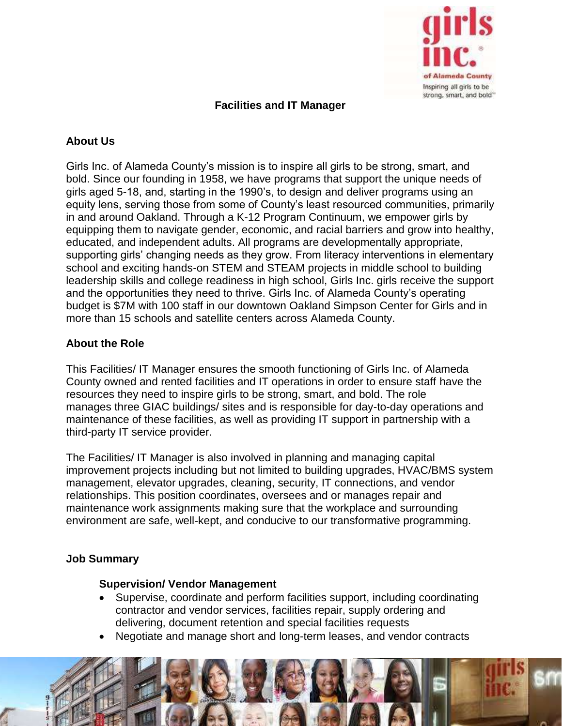

## **Facilities and IT Manager**

# **About Us**

Girls Inc. of Alameda County's mission is to inspire all girls to be strong, smart, and bold. Since our founding in 1958, we have programs that support the unique needs of girls aged 5-18, and, starting in the 1990's, to design and deliver programs using an equity lens, serving those from some of County's least resourced communities, primarily in and around Oakland. Through a K-12 Program Continuum, we empower girls by equipping them to navigate gender, economic, and racial barriers and grow into healthy, educated, and independent adults. All programs are developmentally appropriate, supporting girls' changing needs as they grow. From literacy interventions in elementary school and exciting hands-on STEM and STEAM projects in middle school to building leadership skills and college readiness in high school, Girls Inc. girls receive the support and the opportunities they need to thrive. Girls Inc. of Alameda County's operating budget is \$7M with 100 staff in our downtown Oakland Simpson Center for Girls and in more than 15 schools and satellite centers across Alameda County.

### **About the Role**

This Facilities/ IT Manager ensures the smooth functioning of Girls Inc. of Alameda County owned and rented facilities and IT operations in order to ensure staff have the resources they need to inspire girls to be strong, smart, and bold. The role manages three GIAC buildings/ sites and is responsible for day-to-day operations and maintenance of these facilities, as well as providing IT support in partnership with a third-party IT service provider.

The Facilities/ IT Manager is also involved in planning and managing capital improvement projects including but not limited to building upgrades, HVAC/BMS system management, elevator upgrades, cleaning, security, IT connections, and vendor relationships. This position coordinates, oversees and or manages repair and maintenance work assignments making sure that the workplace and surrounding environment are safe, well-kept, and conducive to our transformative programming.

### **Job Summary**

#### **Supervision/ Vendor Management**

- Supervise, coordinate and perform facilities support, including coordinating contractor and vendor services, facilities repair, supply ordering and delivering, document retention and special facilities requests
- Negotiate and manage short and long-term leases, and vendor contracts

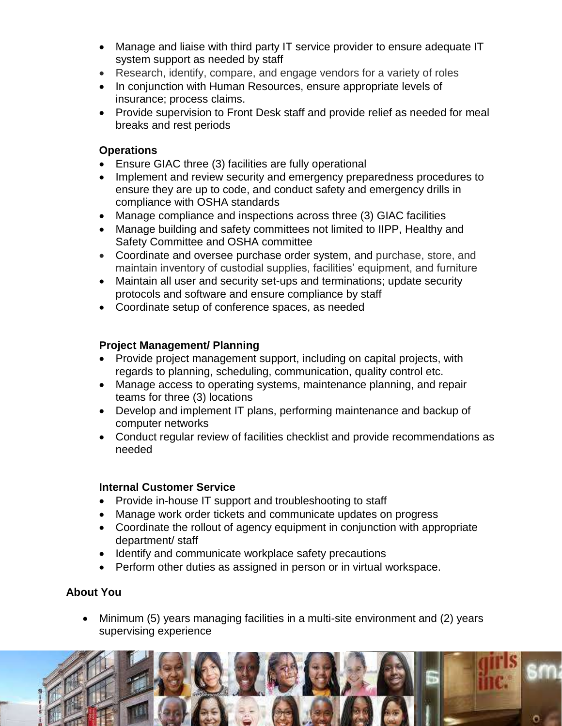- Manage and liaise with third party IT service provider to ensure adequate IT system support as needed by staff
- Research, identify, compare, and engage vendors for a variety of roles
- In conjunction with Human Resources, ensure appropriate levels of insurance; process claims.
- Provide supervision to Front Desk staff and provide relief as needed for meal breaks and rest periods

# **Operations**

- Ensure GIAC three (3) facilities are fully operational
- Implement and review security and emergency preparedness procedures to ensure they are up to code, and conduct safety and emergency drills in compliance with OSHA standards
- Manage compliance and inspections across three (3) GIAC facilities
- Manage building and safety committees not limited to IIPP, Healthy and Safety Committee and OSHA committee
- Coordinate and oversee purchase order system, and purchase, store, and maintain inventory of custodial supplies, facilities' equipment, and furniture
- Maintain all user and security set-ups and terminations; update security protocols and software and ensure compliance by staff
- Coordinate setup of conference spaces, as needed

# **Project Management/ Planning**

- Provide project management support, including on capital projects, with regards to planning, scheduling, communication, quality control etc.
- Manage access to operating systems, maintenance planning, and repair teams for three (3) locations
- Develop and implement IT plans, performing maintenance and backup of computer networks
- Conduct regular review of facilities checklist and provide recommendations as needed

### **Internal Customer Service**

- Provide in-house IT support and troubleshooting to staff
- Manage work order tickets and communicate updates on progress
- Coordinate the rollout of agency equipment in conjunction with appropriate department/ staff
- Identify and communicate workplace safety precautions
- Perform other duties as assigned in person or in virtual workspace.

# **About You**

• Minimum (5) years managing facilities in a multi-site environment and (2) years supervising experience

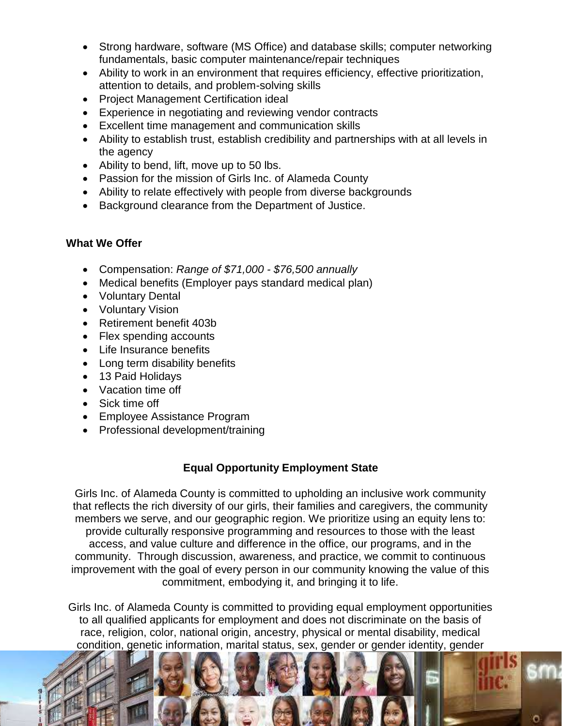- Strong hardware, software (MS Office) and database skills; computer networking fundamentals, basic computer maintenance/repair techniques
- Ability to work in an environment that requires efficiency, effective prioritization, attention to details, and problem-solving skills
- Project Management Certification ideal
- Experience in negotiating and reviewing vendor contracts
- Excellent time management and communication skills
- Ability to establish trust, establish credibility and partnerships with at all levels in the agency
- Ability to bend, lift, move up to 50 lbs.
- Passion for the mission of Girls Inc. of Alameda County
- Ability to relate effectively with people from diverse backgrounds
- Background clearance from the Department of Justice.

### **What We Offer**

- Compensation: *Range of \$71,000 - \$76,500 annually*
- Medical benefits (Employer pays standard medical plan)
- Voluntary Dental
- Voluntary Vision
- Retirement benefit 403b
- Flex spending accounts
- Life Insurance benefits
- Long term disability benefits
- 13 Paid Holidays
- Vacation time off
- Sick time off
- Employee Assistance Program
- Professional development/training

# **Equal Opportunity Employment State**

Girls Inc. of Alameda County is committed to upholding an inclusive work community that reflects the rich diversity of our girls, their families and caregivers, the community members we serve, and our geographic region. We prioritize using an equity lens to: provide culturally responsive programming and resources to those with the least access, and value culture and difference in the office, our programs, and in the community. Through discussion, awareness, and practice, we commit to continuous improvement with the goal of every person in our community knowing the value of this commitment, embodying it, and bringing it to life.

Girls Inc. of Alameda County is committed to providing equal employment opportunities to all qualified applicants for employment and does not discriminate on the basis of race, religion, color, national origin, ancestry, physical or mental disability, medical condition, genetic information, marital status, sex, gender or gender identity, gender